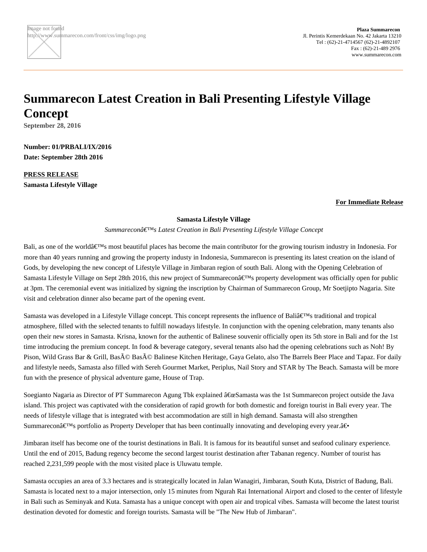## **Summarecon Latest Creation in Bali Presenting Lifestyle Village Concept**

**September 28, 2016**

**Number: 01/PRBALI/IX/2016 Date: September 28th 2016**

**PRESS RELEASE Samasta Lifestyle Village**

## **For Immediate Release**

## **Samasta Lifestyle Village**

Summareconâ€<sup>™</sup>s Latest Creation in Bali Presenting Lifestyle Village Concept

Bali, as one of the world $\hat{\mathbf{a}} \in \mathbb{M}$ s most beautiful places has become the main contributor for the growing tourism industry in Indonesia. For more than 40 years running and growing the property industy in Indonesia, Summarecon is presenting its latest creation on the island of Gods, by developing the new concept of Lifestyle Village in Jimbaran region of south Bali. Along with the Opening Celebration of Samasta Lifestyle Village on Sept 28th 2016, this new project of Summarecon $\hat{\mathbf{a}} \in \mathbb{N}$ s property development was officially open for public at 3pm. The ceremonial event was initialized by signing the inscription by Chairman of Summarecon Group, Mr Soetjipto Nagaria. Site visit and celebration dinner also became part of the opening event.

Samasta was developed in a Lifestyle Village concept. This concept represents the influence of Bali $\hat{\mathbf{\epsilon}}^{\text{TM}}$ s traditional and tropical atmosphere, filled with the selected tenants to fulfill nowadays lifestyle. In conjunction with the opening celebration, many tenants also open their new stores in Samasta. Krisna, known for the authentic of Balinese souvenir officially open its 5th store in Bali and for the 1st time introducing the premium concept. In food & beverage category, several tenants also had the opening celebrations such as Noh! By Pison, Wild Grass Bar & Grill, Basé Basé Balinese Kitchen Heritage, Gaya Gelato, also The Barrels Beer Place and Tapaz. For daily and lifestyle needs, Samasta also filled with Sereh Gourmet Market, Periplus, Nail Story and STAR by The Beach. Samasta will be more fun with the presence of physical adventure game, House of Trap.

Soegianto Nagaria as Director of PT Summarecon Agung Tbk explained "Samasta was the 1st Summarecon project outside the Java island. This project was captivated with the consideration of rapid growth for both domestic and foreign tourist in Bali every year. The needs of lifestyle village that is integrated with best accommodation are still in high demand. Samasta will also strengthen Summarecon $\hat{\mathbf{x}} \in \mathbb{N}$  portfolio as Property Developer that has been continually innovating and developing every year. $\hat{\mathbf{a}} \in \mathbb{N}$ 

Jimbaran itself has become one of the tourist destinations in Bali. It is famous for its beautiful sunset and seafood culinary experience. Until the end of 2015, Badung regency become the second largest tourist destination after Tabanan regency. Number of tourist has reached 2,231,599 people with the most visited place is Uluwatu temple.

Samasta occupies an area of 3.3 hectares and is strategically located in Jalan Wanagiri, Jimbaran, South Kuta, District of Badung, Bali. Samasta is located next to a major intersection, only 15 minutes from Ngurah Rai International Airport and closed to the center of lifestyle in Bali such as Seminyak and Kuta. Samasta has a unique concept with open air and tropical vibes. Samasta will become the latest tourist destination devoted for domestic and foreign tourists. Samasta will be "The New Hub of Jimbaran".